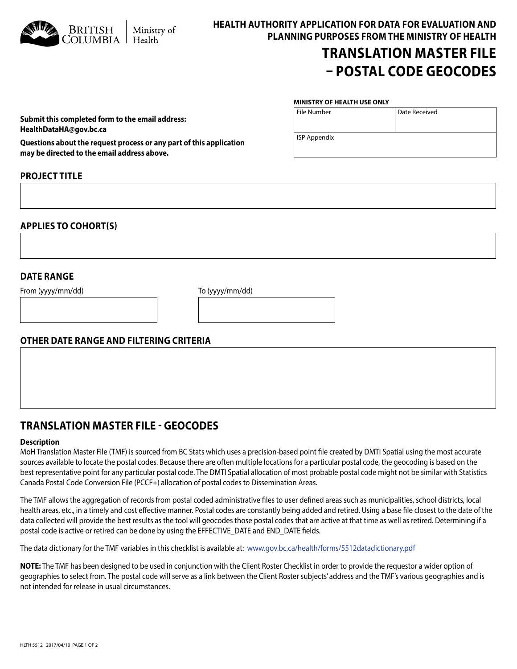| Ministry of |  |
|-------------|--|
| Health      |  |

**HEALTH AUTHORITY APPLICATION FOR DATA FOR EVALUATION AND PLANNING PURPOSES FROM THE MINISTRY OF HEALTH**

# **TRANSLATION MASTER FILE – POSTAL CODE GEOCODES**

Date Received

#### **MINISTRY OF HEALTH USE ONLY**

File Number

ISP Appendix

**Questions about the request process or any part of this application may be directed to the email address above.**

**Submit this completed form to the email address:**

## **PROJECT TITLE**

**HealthDataHA@gov.bc.ca** 

**APPLIES TO COHORT(S)**

### **DATE RANGE**

From (yyyy/mm/dd) To (yyyy/mm/dd)

### **OTHER DATE RANGE AND FILTERING CRITERIA**

# **TRANSLATION MASTER FILE - GEOCODES**

#### **Description**

MoH Translation Master File (TMF) is sourced from BC Stats which uses a precision-based point file created by DMTI Spatial using the most accurate sources available to locate the postal codes. Because there are often multiple locations for a particular postal code, the geocoding is based on the best representative point for any particular postal code. The DMTI Spatial allocation of most probable postal code might not be similar with Statistics Canada Postal Code Conversion File (PCCF+) allocation of postal codes to Dissemination Areas.

The TMF allows the aggregation of records from postal coded administrative files to user defined areas such as municipalities, school districts, local health areas, etc., in a timely and cost effective manner. Postal codes are constantly being added and retired. Using a base file closest to the date of the data collected will provide the best results as the tool will geocodes those postal codes that are active at that time as well as retired. Determining if a postal code is active or retired can be done by using the EFFECTIVE\_DATE and END\_DATE fields.

The data dictionary for the TMF variables in this checklist is available at: www.gov.bc.ca/health/forms/5512datadictionary.pdf

**NOTE:** The TMF has been designed to be used in conjunction with the Client Roster Checklist in order to provide the requestor a wider option of geographies to select from. The postal code will serve as a link between the Client Roster subjects' address and the TMF's various geographies and is not intended for release in usual circumstances.